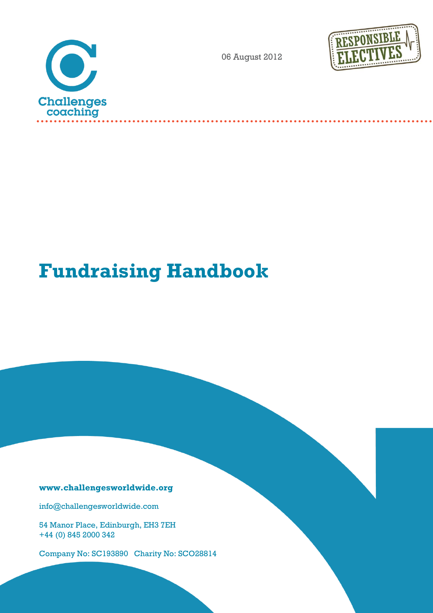

06 August 2012



# **Fundraising Handbook**

# **www.challengesworldwide.org**

info@challengesworldwide.com

54 Manor Place, Edinburgh, EH3 7EH +44 (0) 845 2000 342

Company No: SC193890 Charity No: SCO28814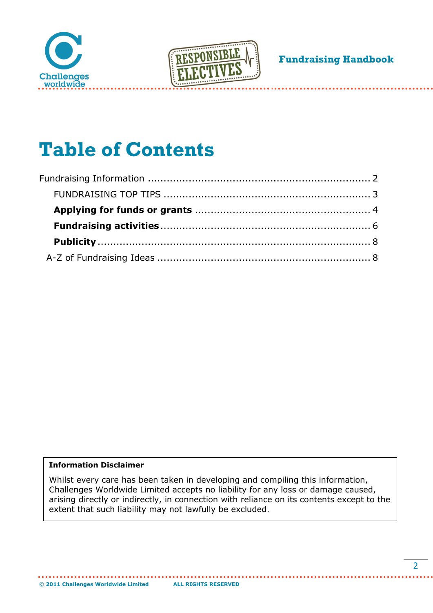



# **Table of Contents**

<span id="page-1-0"></span>

### **Information Disclaimer**

Whilst every care has been taken in developing and compiling this information, Challenges Worldwide Limited accepts no liability for any loss or damage caused, arising directly or indirectly, in connection with reliance on its contents except to the extent that such liability may not lawfully be excluded.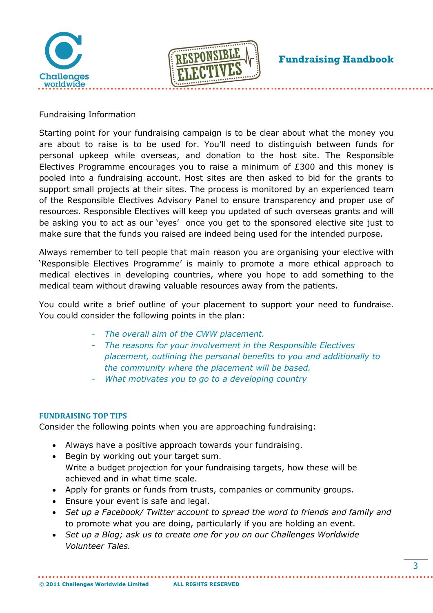



Fundraising Information

Starting point for your fundraising campaign is to be clear about what the money you are about to raise is to be used for. You'll need to distinguish between funds for personal upkeep while overseas, and donation to the host site. The Responsible Electives Programme encourages you to raise a minimum of £300 and this money is pooled into a fundraising account. Host sites are then asked to bid for the grants to support small projects at their sites. The process is monitored by an experienced team of the Responsible Electives Advisory Panel to ensure transparency and proper use of resources. Responsible Electives will keep you updated of such overseas grants and will be asking you to act as our 'eyes' once you get to the sponsored elective site just to make sure that the funds you raised are indeed being used for the intended purpose.

Always remember to tell people that main reason you are organising your elective with 'Responsible Electives Programme' is mainly to promote a more ethical approach to medical electives in developing countries, where you hope to add something to the medical team without drawing valuable resources away from the patients.

You could write a brief outline of your placement to support your need to fundraise. You could consider the following points in the plan:

- *The overall aim of the CWW placement.*
- *The reasons for your involvement in the Responsible Electives placement, outlining the personal benefits to you and additionally to the community where the placement will be based.*
- *What motivates you to go to a developing country*

### <span id="page-2-0"></span>**FUNDRAISING TOP TIPS**

Consider the following points when you are approaching fundraising:

- Always have a positive approach towards your fundraising.
- Begin by working out your target sum. Write a budget projection for your fundraising targets, how these will be achieved and in what time scale.
- Apply for grants or funds from trusts, companies or community groups.
- Ensure your event is safe and legal.
- *Set up a Facebook/ Twitter account to spread the word to friends and family and* to promote what you are doing, particularly if you are holding an event.
- *Set up a Blog; ask us to create one for you on our Challenges Worldwide Volunteer Tales.*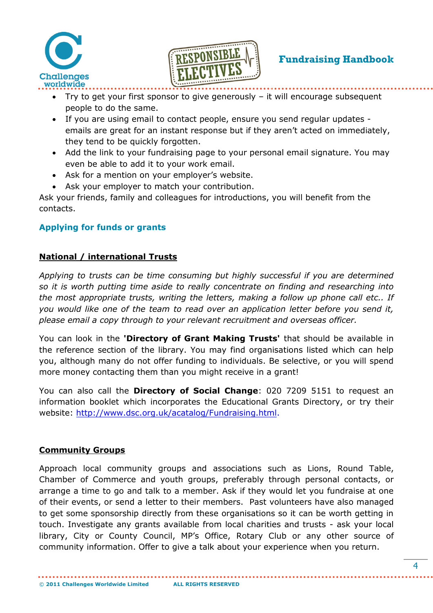



- Try to get your first sponsor to give generously it will encourage subsequent people to do the same.
- If you are using email to contact people, ensure you send regular updates emails are great for an instant response but if they aren't acted on immediately, they tend to be quickly forgotten.
- Add the link to your fundraising page to your personal email signature. You may even be able to add it to your work email.
- Ask for a mention on your employer's website.
- Ask your employer to match your contribution.

Ask your friends, family and colleagues for introductions, you will benefit from the contacts.

# <span id="page-3-0"></span>**Applying for funds or grants**

# **National / international Trusts**

*Applying to trusts can be time consuming but highly successful if you are determined so it is worth putting time aside to really concentrate on finding and researching into the most appropriate trusts, writing the letters, making a follow up phone call etc.. If you would like one of the team to read over an application letter before you send it, please email a copy through to your relevant recruitment and overseas officer.*

You can look in the **'Directory of Grant Making Trusts'** that should be available in the reference section of the library. You may find organisations listed which can help you, although many do not offer funding to individuals. Be selective, or you will spend more money contacting them than you might receive in a grant!

You can also call the **Directory of Social Change**: 020 7209 5151 to request an information booklet which incorporates the Educational Grants Directory, or try their website: [http://www.dsc.org.uk/acatalog/Fundraising.html.](http://www.dsc.org.uk/acatalog/Fundraising.html)

# **Community Groups**

Approach local community groups and associations such as Lions, Round Table, Chamber of Commerce and youth groups, preferably through personal contacts, or arrange a time to go and talk to a member. Ask if they would let you fundraise at one of their events, or send a letter to their members. Past volunteers have also managed to get some sponsorship directly from these organisations so it can be worth getting in touch. Investigate any grants available from local charities and trusts - ask your local library, City or County Council, MP's Office, Rotary Club or any other source of community information. Offer to give a talk about your experience when you return.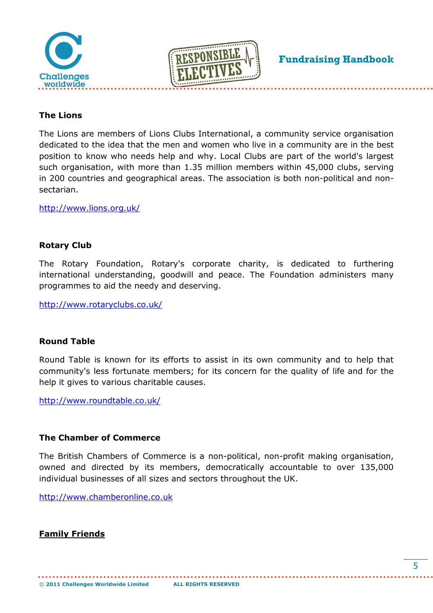



# **The Lions**

The Lions are members of Lions Clubs International, a community service organisation dedicated to the idea that the men and women who live in a community are in the best position to know who needs help and why. Local Clubs are part of the world's largest such organisation, with more than 1.35 million members within 45,000 clubs, serving in 200 countries and geographical areas. The association is both non-political and nonsectarian.

<http://www.lions.org.uk/>

### **Rotary Club**

The Rotary Foundation, Rotary's corporate charity, is dedicated to furthering international understanding, goodwill and peace. The Foundation administers many programmes to aid the needy and deserving.

<http://www.rotaryclubs.co.uk/>

### **Round Table**

Round Table is known for its efforts to assist in its own community and to help that community's less fortunate members; for its concern for the quality of life and for the help it gives to various charitable causes.

<http://www.roundtable.co.uk/>

### **The Chamber of Commerce**

The British Chambers of Commerce is a non-political, non-profit making organisation, owned and directed by its members, democratically accountable to over 135,000 individual businesses of all sizes and sectors throughout the UK.

[http://www.chamberonline.co.uk](http://www.chamberonline.co.uk/)

**Family Friends**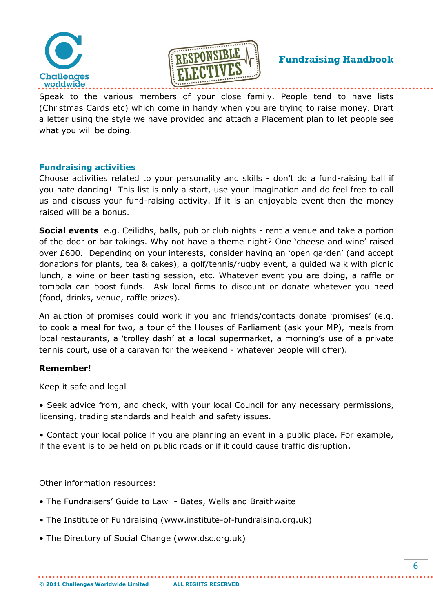



Speak to the various members of your close family. People tend to have lists (Christmas Cards etc) which come in handy when you are trying to raise money. Draft a letter using the style we have provided and attach a Placement plan to let people see what you will be doing.

### <span id="page-5-0"></span>**Fundraising activities**

Choose activities related to your personality and skills - don't do a fund-raising ball if you hate dancing! This list is only a start, use your imagination and do feel free to call us and discuss your fund-raising activity. If it is an enjoyable event then the money raised will be a bonus.

**Social events** e.g. Ceilidhs, balls, pub or club nights - rent a venue and take a portion of the door or bar takings. Why not have a theme night? One 'cheese and wine' raised over £600. Depending on your interests, consider having an 'open garden' (and accept donations for plants, tea & cakes), a golf/tennis/rugby event, a guided walk with picnic lunch, a wine or beer tasting session, etc. Whatever event you are doing, a raffle or tombola can boost funds. Ask local firms to discount or donate whatever you need (food, drinks, venue, raffle prizes).

An auction of promises could work if you and friends/contacts donate 'promises' (e.g. to cook a meal for two, a tour of the Houses of Parliament (ask your MP), meals from local restaurants, a 'trolley dash' at a local supermarket, a morning's use of a private tennis court, use of a caravan for the weekend - whatever people will offer).

# **Remember!**

Keep it safe and legal

• Seek advice from, and check, with your local Council for any necessary permissions, licensing, trading standards and health and safety issues.

• Contact your local police if you are planning an event in a public place. For example, if the event is to be held on public roads or if it could cause traffic disruption.

Other information resources:

- The Fundraisers' Guide to Law Bates, Wells and Braithwaite
- The Institute of Fundraising (www.institute-of-fundraising.org.uk)
- The Directory of Social Change (www.dsc.org.uk)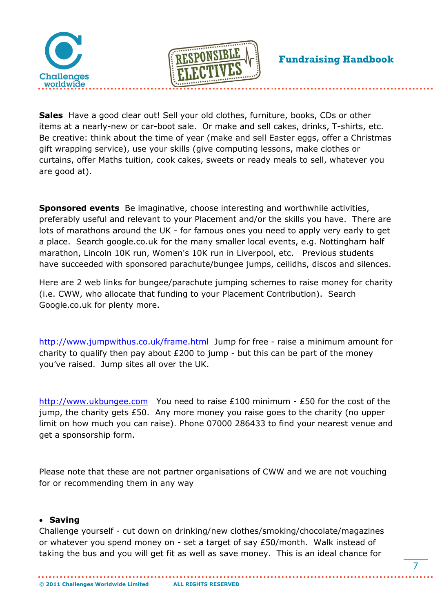



**Sales** Have a good clear out! Sell your old clothes, furniture, books, CDs or other items at a nearly-new or car-boot sale. Or make and sell cakes, drinks, T-shirts, etc. Be creative: think about the time of year (make and sell Easter eggs, offer a Christmas gift wrapping service), use your skills (give computing lessons, make clothes or curtains, offer Maths tuition, cook cakes, sweets or ready meals to sell, whatever you are good at).

**Sponsored events** Be imaginative, choose interesting and worthwhile activities, preferably useful and relevant to your Placement and/or the skills you have. There are lots of marathons around the UK - for famous ones you need to apply very early to get a place. Search google.co.uk for the many smaller local events, e.g. Nottingham half marathon, Lincoln 10K run, Women's 10K run in Liverpool, etc. Previous students have succeeded with sponsored parachute/bungee jumps, ceilidhs, discos and silences.

Here are 2 web links for bungee/parachute jumping schemes to raise money for charity (i.e. CWW, who allocate that funding to your Placement Contribution). Search Google.co.uk for plenty more.

<http://www.jumpwithus.co.uk/frame.html>Jump for free - raise a minimum amount for charity to qualify then pay about £200 to jump - but this can be part of the money you've raised. Jump sites all over the UK.

[http://www.ukbungee.com](http://www.ukbungee.com/) You need to raise £100 minimum - £50 for the cost of the jump, the charity gets £50. Any more money you raise goes to the charity (no upper limit on how much you can raise). Phone 07000 286433 to find your nearest venue and get a sponsorship form.

Please note that these are not partner organisations of CWW and we are not vouching for or recommending them in any way

### **Saving**

Challenge yourself - cut down on drinking/new clothes/smoking/chocolate/magazines or whatever you spend money on - set a target of say £50/month. Walk instead of taking the bus and you will get fit as well as save money. This is an ideal chance for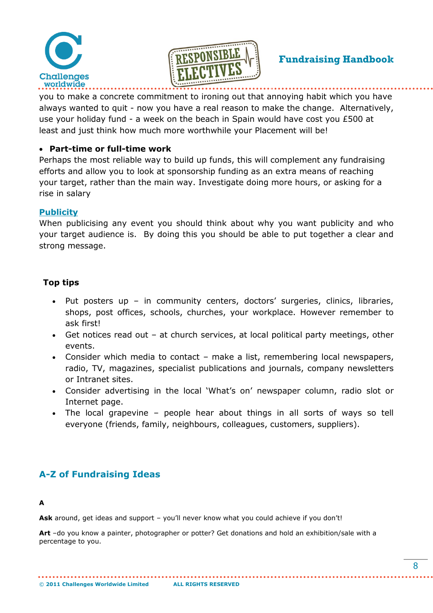



you to make a concrete commitment to ironing out that annoying habit which you have always wanted to quit - now you have a real reason to make the change. Alternatively, use your holiday fund - a week on the beach in Spain would have cost you £500 at least and just think how much more worthwhile your Placement will be!

### **Part-time or full-time work**

Perhaps the most reliable way to build up funds, this will complement any fundraising efforts and allow you to look at sponsorship funding as an extra means of reaching your target, rather than the main way. Investigate doing more hours, or asking for a rise in salary

### <span id="page-7-0"></span>**Publicity**

When publicising any event you should think about why you want publicity and who your target audience is. By doing this you should be able to put together a clear and strong message.

### **Top tips**

- Put posters up in community centers, doctors' surgeries, clinics, libraries, shops, post offices, schools, churches, your workplace. However remember to ask first!
- Get notices read out at church services, at local political party meetings, other events.
- Consider which media to contact make a list, remembering local newspapers, radio, TV, magazines, specialist publications and journals, company newsletters or Intranet sites.
- Consider advertising in the local 'What's on' newspaper column, radio slot or Internet page.
- The local grapevine people hear about things in all sorts of ways so tell everyone (friends, family, neighbours, colleagues, customers, suppliers).

# <span id="page-7-1"></span>**A-Z of Fundraising Ideas**

### **A**

Ask around, get ideas and support - you'll never know what you could achieve if you don't!

**Art** –do you know a painter, photographer or potter? Get donations and hold an exhibition/sale with a percentage to you.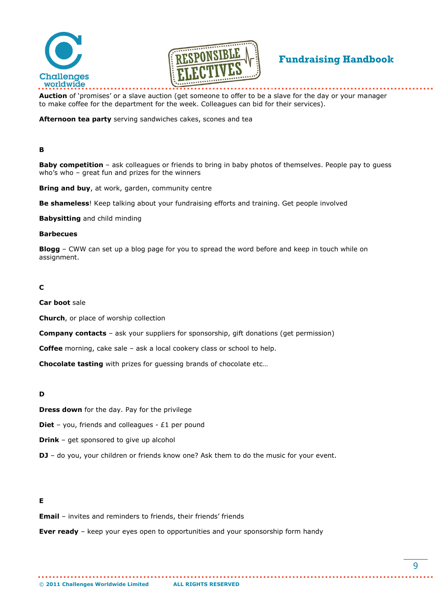



**Auction** of 'promises' or a slave auction (get someone to offer to be a slave for the day or your manager to make coffee for the department for the week. Colleagues can bid for their services).

**Afternoon tea party** serving sandwiches cakes, scones and tea

### **B**

**Baby competition** – ask colleagues or friends to bring in baby photos of themselves. People pay to guess who's who – great fun and prizes for the winners

**Bring and buy**, at work, garden, community centre

**Be shameless**! Keep talking about your fundraising efforts and training. Get people involved

**Babysitting** and child minding

#### **Barbecues**

**Blogg** – CWW can set up a blog page for you to spread the word before and keep in touch while on assignment.

### **C**

#### **Car boot** sale

**Church**, or place of worship collection

**Company contacts** – ask your suppliers for sponsorship, gift donations (get permission)

**Coffee** morning, cake sale – ask a local cookery class or school to help.

**Chocolate tasting** with prizes for guessing brands of chocolate etc…

#### **D**

**Dress down** for the day. Pay for the privilege

**Diet** – you, friends and colleagues - £1 per pound

**Drink** – get sponsored to give up alcohol

**DJ** – do you, your children or friends know one? Ask them to do the music for your event.

### **E**

**Email** – invites and reminders to friends, their friends' friends

**Ever ready** – keep your eyes open to opportunities and your sponsorship form handy

. . . . . . . . . . . . . . . .

. . . . . . . . . . . . . . . . .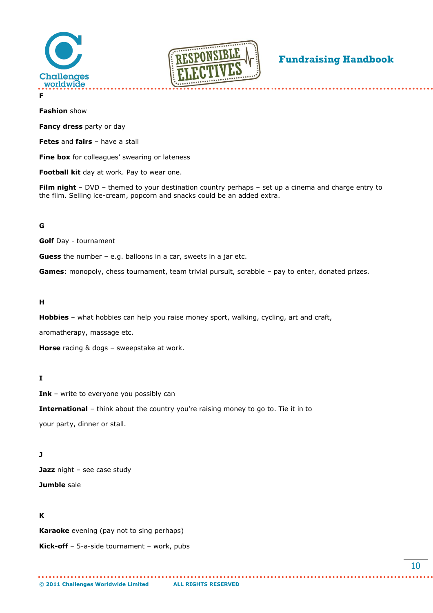



**F**

**Fashion** show

**Fancy dress** party or day

**Fetes** and **fairs** – have a stall

**Fine box** for colleagues' swearing or lateness

**Football kit** day at work. Pay to wear one.

**Film night** – DVD – themed to your destination country perhaps – set up a cinema and charge entry to the film. Selling ice-cream, popcorn and snacks could be an added extra.

### **G**

**Golf** Day - tournament

**Guess** the number – e.g. balloons in a car, sweets in a jar etc.

**Games**: monopoly, chess tournament, team trivial pursuit, scrabble – pay to enter, donated prizes.

### **H**

**Hobbies** – what hobbies can help you raise money sport, walking, cycling, art and craft,

aromatherapy, massage etc.

**Horse** racing & dogs – sweepstake at work.

### **I**

**Ink** – write to everyone you possibly can

**International** – think about the country you're raising money to go to. Tie it in to your party, dinner or stall.

. . . . . . . . . . . . . . . . .

### **J**

**Jazz** night – see case study

# **Jumble** sale

### **K**

**Karaoke** evening (pay not to sing perhaps) **Kick-off** – 5-a-side tournament – work, pubs

. . . . . . . . . . . . . . . . . .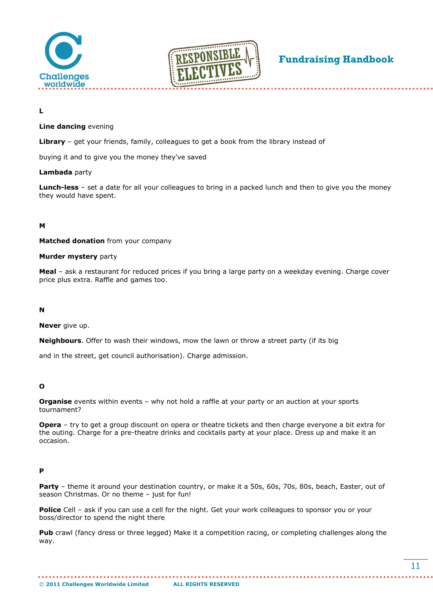



**L**

### **Line dancing** evening

**Library** – get your friends, family, colleagues to get a book from the library instead of

buying it and to give you the money they've saved

### **Lambada** party

**Lunch-less** – set a date for all your colleagues to bring in a packed lunch and then to give you the money they would have spent.

### **M**

**Matched donation** from your company

#### **Murder mystery** party

**Meal** – ask a restaurant for reduced prices if you bring a large party on a weekday evening. Charge cover price plus extra. Raffle and games too.

### **N**

**Never** give up.

**Neighbours**. Offer to wash their windows, mow the lawn or throw a street party (if its big

and in the street, get council authorisation). Charge admission.

### **O**

**Organise** events within events – why not hold a raffle at your party or an auction at your sports tournament?

**Opera** – try to get a group discount on opera or theatre tickets and then charge everyone a bit extra for the outing. Charge for a pre-theatre drinks and cocktails party at your place. Dress up and make it an occasion.

### **P**

**Party** – theme it around your destination country, or make it a 50s, 60s, 70s, 80s, beach, Easter, out of season Christmas. Or no theme – just for fun!

**Police** Cell – ask if you can use a cell for the night. Get your work colleagues to sponsor you or your boss/director to spend the night there

. . . . . . . . . . . . . . . . . . . .

**Pub** crawl (fancy dress or three legged) Make it a competition racing, or completing challenges along the way.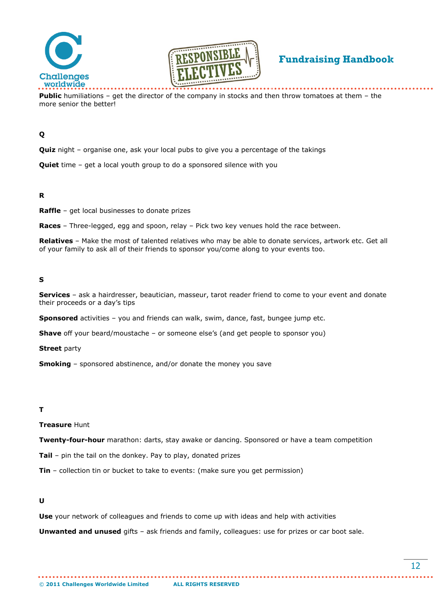



**Public** humiliations – get the director of the company in stocks and then throw tomatoes at them – the more senior the better!

### **Q**

**Quiz** night – organise one, ask your local pubs to give you a percentage of the takings

**Quiet** time – get a local youth group to do a sponsored silence with you

### **R**

**Raffle** – get local businesses to donate prizes

**Races** – Three-legged, egg and spoon, relay – Pick two key venues hold the race between.

**Relatives** – Make the most of talented relatives who may be able to donate services, artwork etc. Get all of your family to ask all of their friends to sponsor you/come along to your events too.

### **S**

**Services** – ask a hairdresser, beautician, masseur, tarot reader friend to come to your event and donate their proceeds or a day's tips

**Sponsored** activities – you and friends can walk, swim, dance, fast, bungee jump etc.

**Shave** off your beard/moustache – or someone else's (and get people to sponsor you)

**Street** party

**Smoking** – sponsored abstinence, and/or donate the money you save

#### **T**

**Treasure** Hunt

**Twenty-four-hour** marathon: darts, stay awake or dancing. Sponsored or have a team competition

**Tail** – pin the tail on the donkey. Pay to play, donated prizes

**Tin** – collection tin or bucket to take to events: (make sure you get permission)

#### **U**

**Use** your network of colleagues and friends to come up with ideas and help with activities

**Unwanted and unused** gifts – ask friends and family, colleagues: use for prizes or car boot sale.

. . . . . . . . . . . . . . . . .